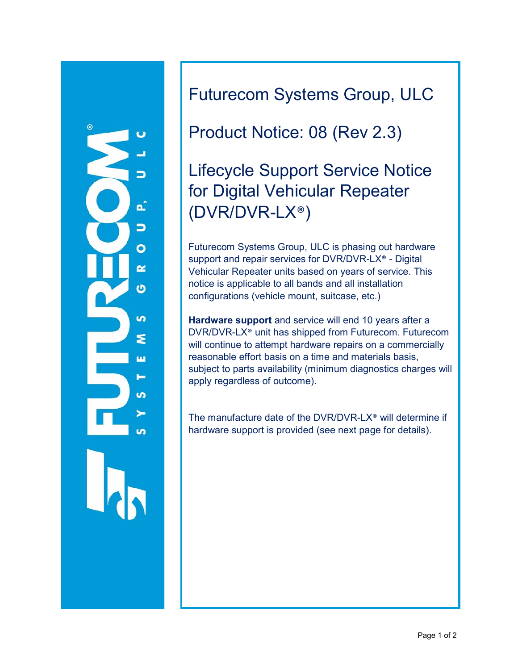

Futurecom Systems Group, ULC

## Product Notice: 08 (Rev 2.3)

# Lifecycle Support Service Notice for Digital Vehicular Repeater (DVR/DVR-LX®)

Futurecom Systems Group, ULC is phasing out hardware support and repair services for DVR/DVR-LX® - Digital Vehicular Repeater units based on years of service. This notice is applicable to all bands and all installation configurations (vehicle mount, suitcase, etc.)

**Hardware support** and service will end 10 years after a DVR/DVR-LX® unit has shipped from Futurecom. Futurecom will continue to attempt hardware repairs on a commercially reasonable effort basis on a time and materials basis, subject to parts availability (minimum diagnostics charges will apply regardless of outcome).

The manufacture date of the DVR/DVR-LX® will determine if hardware support is provided (see next page for details).